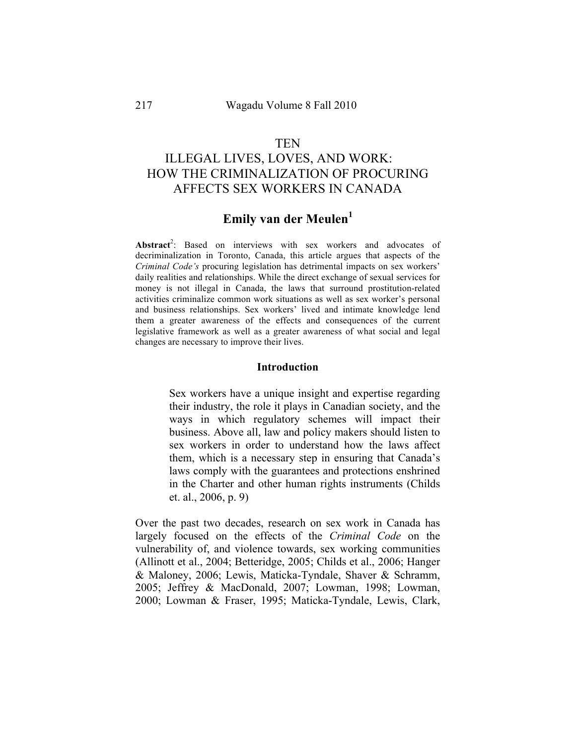## **TEN**

# ILLEGAL LIVES, LOVES, AND WORK: HOW THE CRIMINALIZATION OF PROCURING AFFECTS SEX WORKERS IN CANADA

# **Emily van der Meulen<sup>1</sup>**

Abstract<sup>2</sup>: Based on interviews with sex workers and advocates of decriminalization in Toronto, Canada, this article argues that aspects of the *Criminal Code's* procuring legislation has detrimental impacts on sex workers' daily realities and relationships. While the direct exchange of sexual services for money is not illegal in Canada, the laws that surround prostitution-related activities criminalize common work situations as well as sex worker's personal and business relationships. Sex workers' lived and intimate knowledge lend them a greater awareness of the effects and consequences of the current legislative framework as well as a greater awareness of what social and legal changes are necessary to improve their lives.

### **Introduction**

Sex workers have a unique insight and expertise regarding their industry, the role it plays in Canadian society, and the ways in which regulatory schemes will impact their business. Above all, law and policy makers should listen to sex workers in order to understand how the laws affect them, which is a necessary step in ensuring that Canada's laws comply with the guarantees and protections enshrined in the Charter and other human rights instruments (Childs et. al., 2006, p. 9)

Over the past two decades, research on sex work in Canada has largely focused on the effects of the *Criminal Code* on the vulnerability of, and violence towards, sex working communities (Allinott et al., 2004; Betteridge, 2005; Childs et al., 2006; Hanger & Maloney, 2006; Lewis, Maticka-Tyndale, Shaver & Schramm, 2005; Jeffrey & MacDonald, 2007; Lowman, 1998; Lowman, 2000; Lowman & Fraser, 1995; Maticka-Tyndale, Lewis, Clark,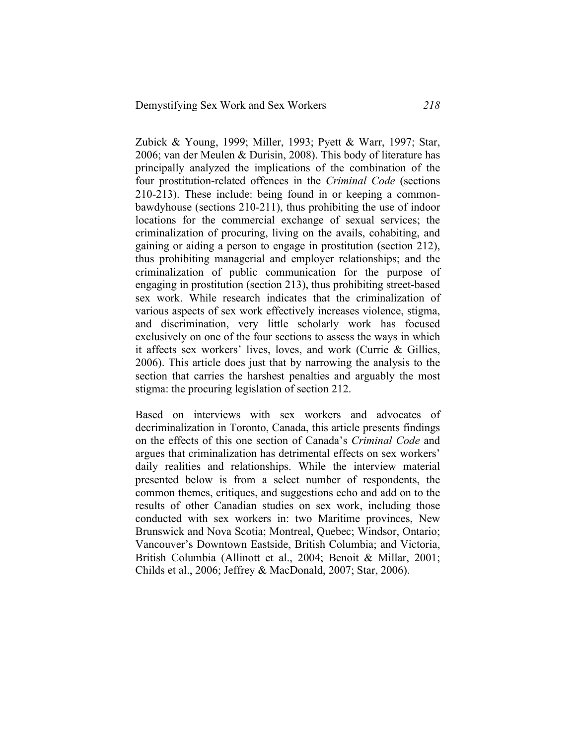Zubick & Young, 1999; Miller, 1993; Pyett & Warr, 1997; Star, 2006; van der Meulen & Durisin, 2008). This body of literature has principally analyzed the implications of the combination of the four prostitution-related offences in the *Criminal Code* (sections 210-213). These include: being found in or keeping a commonbawdyhouse (sections 210-211), thus prohibiting the use of indoor locations for the commercial exchange of sexual services; the criminalization of procuring, living on the avails, cohabiting, and gaining or aiding a person to engage in prostitution (section 212), thus prohibiting managerial and employer relationships; and the criminalization of public communication for the purpose of engaging in prostitution (section 213), thus prohibiting street-based sex work. While research indicates that the criminalization of various aspects of sex work effectively increases violence, stigma, and discrimination, very little scholarly work has focused exclusively on one of the four sections to assess the ways in which it affects sex workers' lives, loves, and work (Currie & Gillies, 2006). This article does just that by narrowing the analysis to the section that carries the harshest penalties and arguably the most stigma: the procuring legislation of section 212.

Based on interviews with sex workers and advocates of decriminalization in Toronto, Canada, this article presents findings on the effects of this one section of Canada's *Criminal Code* and argues that criminalization has detrimental effects on sex workers' daily realities and relationships. While the interview material presented below is from a select number of respondents, the common themes, critiques, and suggestions echo and add on to the results of other Canadian studies on sex work, including those conducted with sex workers in: two Maritime provinces, New Brunswick and Nova Scotia; Montreal, Quebec; Windsor, Ontario; Vancouver's Downtown Eastside, British Columbia; and Victoria, British Columbia (Allinott et al., 2004; Benoit & Millar, 2001; Childs et al., 2006; Jeffrey & MacDonald, 2007; Star, 2006).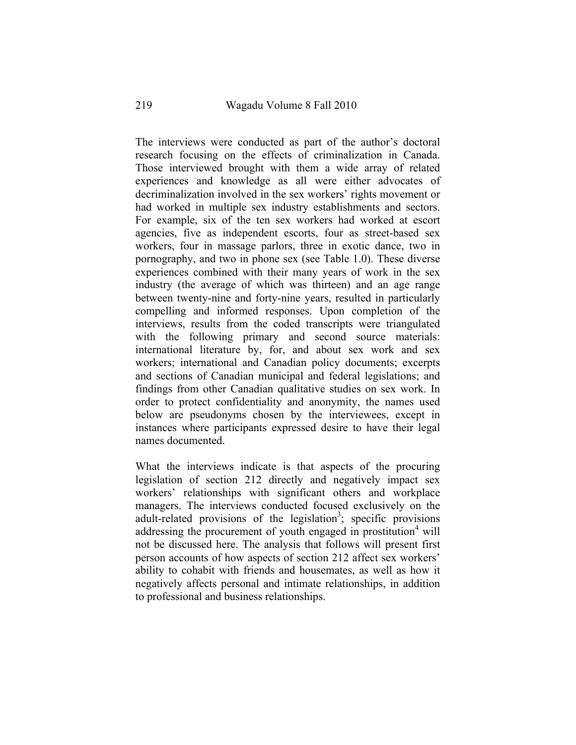The interviews were conducted as part of the author's doctoral research focusing on the effects of criminalization in Canada. Those interviewed brought with them a wide array of related experiences and knowledge as all were either advocates of decriminalization involved in the sex workers' rights movement or had worked in multiple sex industry establishments and sectors. For example, six of the ten sex workers had worked at escort agencies, five as independent escorts, four as street-based sex workers, four in massage parlors, three in exotic dance, two in pornography, and two in phone sex (see Table 1.0). These diverse experiences combined with their many years of work in the sex industry (the average of which was thirteen) and an age range between twenty-nine and forty-nine years, resulted in particularly compelling and informed responses. Upon completion of the interviews, results from the coded transcripts were triangulated with the following primary and second source materials: international literature by, for, and about sex work and sex workers; international and Canadian policy documents; excerpts and sections of Canadian municipal and federal legislations; and findings from other Canadian qualitative studies on sex work. In order to protect confidentiality and anonymity, the names used below are pseudonyms chosen by the interviewees, except in instances where participants expressed desire to have their legal names documented.

What the interviews indicate is that aspects of the procuring legislation of section 212 directly and negatively impact sex workers' relationships with significant others and workplace managers. The interviews conducted focused exclusively on the adult-related provisions of the legislation<sup>3</sup>; specific provisions addressing the procurement of youth engaged in prostitution<sup>4</sup> will not be discussed here. The analysis that follows will present first person accounts of how aspects of section 212 affect sex workers' ability to cohabit with friends and housemates, as well as how it negatively affects personal and intimate relationships, in addition to professional and business relationships.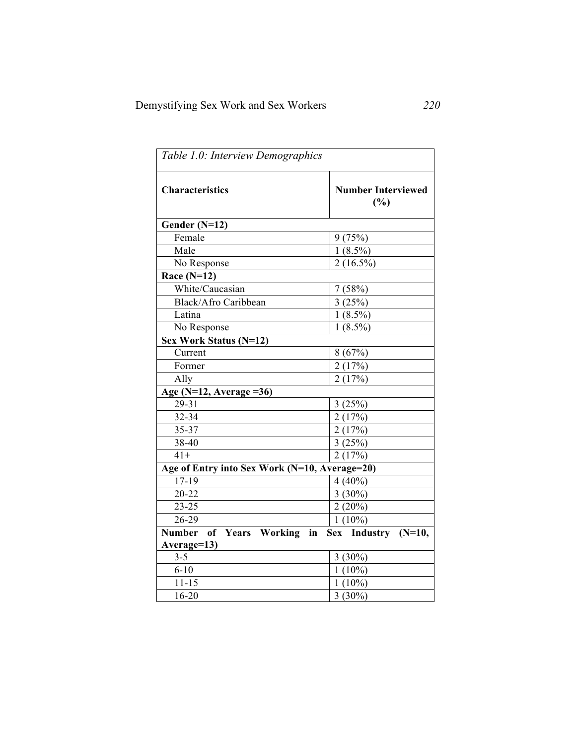Demystifying Sex Work and Sex Workers *220*

| Table 1.0: Interview Demographics             |                                  |
|-----------------------------------------------|----------------------------------|
| <b>Characteristics</b>                        | <b>Number Interviewed</b><br>(%) |
| Gender $(N=12)$                               |                                  |
| Female                                        | 9(75%)                           |
| Male                                          | $1(8.5\%)$                       |
| No Response                                   | $2(16.5\%)$                      |
| Race $(N=12)$                                 |                                  |
| White/Caucasian                               | 7(58%)                           |
| Black/Afro Caribbean                          | 3(25%)                           |
| Latina                                        | $1(8.5\%)$                       |
| No Response                                   | $1(8.5\%)$                       |
| <b>Sex Work Status (N=12)</b>                 |                                  |
| Current                                       | 8(67%)                           |
| Former                                        | 2(17%)                           |
| Ally                                          | 2(17%)                           |
| Age ( $N=12$ , Average = 36)                  |                                  |
| 29-31                                         | 3(25%)                           |
| 32-34                                         | 2(17%)                           |
| 35-37                                         | 2(17%)                           |
| 38-40                                         | 3(25%)                           |
| $41+$                                         | 2(17%)                           |
| Age of Entry into Sex Work (N=10, Average=20) |                                  |
| $17 - 19$                                     | $4(40\%)$                        |
| 20-22                                         | $3(30\%)$                        |
| $23 - 25$                                     | 2(20%)                           |
| 26-29                                         | $1(10\%)$                        |
| <b>Number</b><br>of Years Working in          | Sex Industry (N=10,              |
| Average=13)                                   |                                  |
| $3 - 5$                                       | $3(30\%)$                        |
| $6 - 10$                                      | $1(10\%)$                        |
| $11 - 15$                                     | $1(10\%)$                        |
| $16 - 20$                                     | $3(30\%)$                        |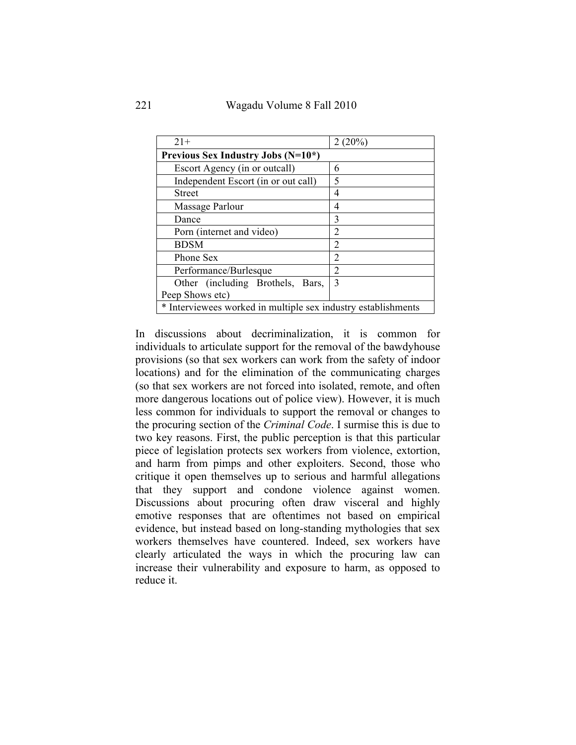| $21+$                                                         | $2(20\%)$      |
|---------------------------------------------------------------|----------------|
| Previous Sex Industry Jobs (N=10*)                            |                |
| Escort Agency (in or outcall)                                 | 6              |
| Independent Escort (in or out call)                           | 5              |
| <b>Street</b>                                                 | 4              |
| Massage Parlour                                               | 4              |
| Dance                                                         | 3              |
| Porn (internet and video)                                     | 2              |
| <b>BDSM</b>                                                   | $\overline{2}$ |
| Phone Sex                                                     | $\overline{2}$ |
| Performance/Burlesque                                         | 2              |
| Other (including Brothels, Bars,                              | 3              |
| Peep Shows etc)                                               |                |
| * Interviewees worked in multiple sex industry establishments |                |

In discussions about decriminalization, it is common for individuals to articulate support for the removal of the bawdyhouse provisions (so that sex workers can work from the safety of indoor locations) and for the elimination of the communicating charges (so that sex workers are not forced into isolated, remote, and often more dangerous locations out of police view). However, it is much less common for individuals to support the removal or changes to the procuring section of the *Criminal Code*. I surmise this is due to two key reasons. First, the public perception is that this particular piece of legislation protects sex workers from violence, extortion, and harm from pimps and other exploiters. Second, those who critique it open themselves up to serious and harmful allegations that they support and condone violence against women. Discussions about procuring often draw visceral and highly emotive responses that are oftentimes not based on empirical evidence, but instead based on long-standing mythologies that sex workers themselves have countered. Indeed, sex workers have clearly articulated the ways in which the procuring law can increase their vulnerability and exposure to harm, as opposed to reduce it.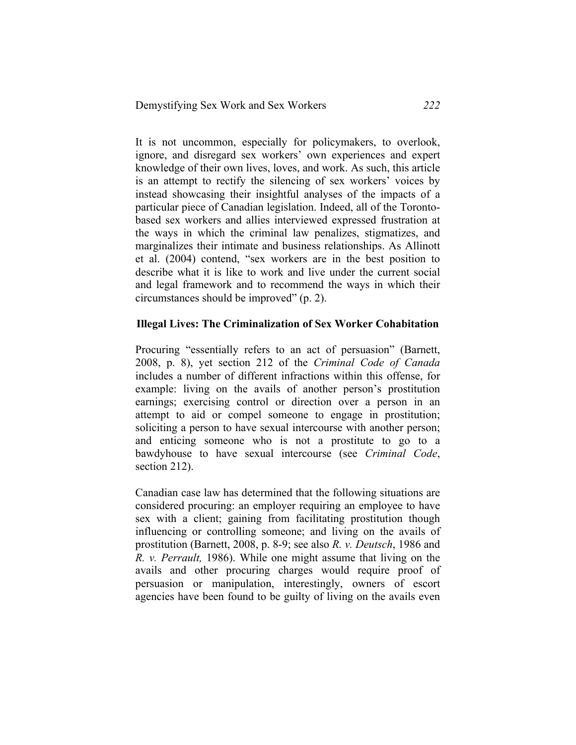It is not uncommon, especially for policymakers, to overlook, ignore, and disregard sex workers' own experiences and expert knowledge of their own lives, loves, and work. As such, this article is an attempt to rectify the silencing of sex workers' voices by instead showcasing their insightful analyses of the impacts of a particular piece of Canadian legislation. Indeed, all of the Torontobased sex workers and allies interviewed expressed frustration at the ways in which the criminal law penalizes, stigmatizes, and marginalizes their intimate and business relationships. As Allinott et al. (2004) contend, "sex workers are in the best position to describe what it is like to work and live under the current social and legal framework and to recommend the ways in which their circumstances should be improved" (p. 2).

# **Illegal Lives: The Criminalization of Sex Worker Cohabitation**

Procuring "essentially refers to an act of persuasion" (Barnett, 2008, p. 8), yet section 212 of the *Criminal Code of Canada* includes a number of different infractions within this offense, for example: living on the avails of another person's prostitution earnings; exercising control or direction over a person in an attempt to aid or compel someone to engage in prostitution; soliciting a person to have sexual intercourse with another person; and enticing someone who is not a prostitute to go to a bawdyhouse to have sexual intercourse (see *Criminal Code*, section 212).

Canadian case law has determined that the following situations are considered procuring: an employer requiring an employee to have sex with a client; gaining from facilitating prostitution though influencing or controlling someone; and living on the avails of prostitution (Barnett, 2008, p. 8-9; see also *R. v. Deutsch*, 1986 and *R. v. Perrault,* 1986). While one might assume that living on the avails and other procuring charges would require proof of persuasion or manipulation, interestingly, owners of escort agencies have been found to be guilty of living on the avails even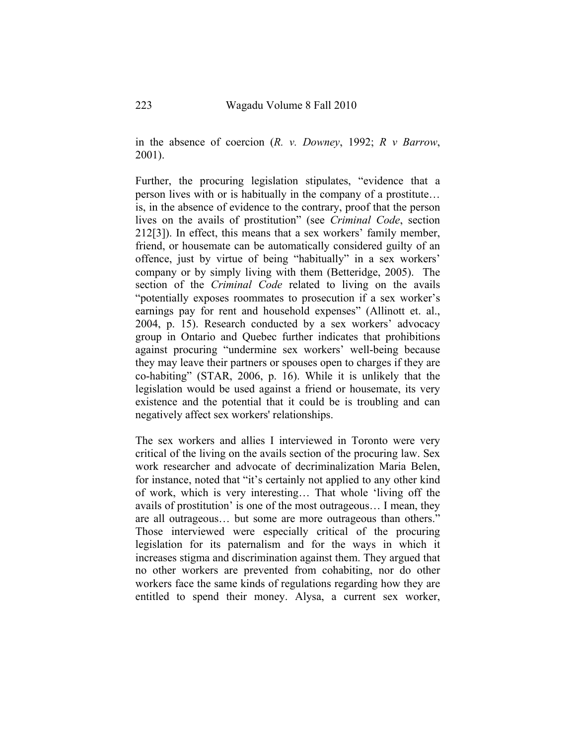in the absence of coercion (*R. v. Downey*, 1992; *R v Barrow*, 2001).

Further, the procuring legislation stipulates, "evidence that a person lives with or is habitually in the company of a prostitute… is, in the absence of evidence to the contrary, proof that the person lives on the avails of prostitution" (see *Criminal Code*, section 212[3]). In effect, this means that a sex workers' family member, friend, or housemate can be automatically considered guilty of an offence, just by virtue of being "habitually" in a sex workers' company or by simply living with them (Betteridge, 2005). The section of the *Criminal Code* related to living on the avails "potentially exposes roommates to prosecution if a sex worker's earnings pay for rent and household expenses" (Allinott et. al., 2004, p. 15). Research conducted by a sex workers' advocacy group in Ontario and Quebec further indicates that prohibitions against procuring "undermine sex workers' well-being because they may leave their partners or spouses open to charges if they are co-habiting" (STAR, 2006, p. 16). While it is unlikely that the legislation would be used against a friend or housemate, its very existence and the potential that it could be is troubling and can negatively affect sex workers' relationships.

The sex workers and allies I interviewed in Toronto were very critical of the living on the avails section of the procuring law. Sex work researcher and advocate of decriminalization Maria Belen, for instance, noted that "it's certainly not applied to any other kind of work, which is very interesting… That whole 'living off the avails of prostitution' is one of the most outrageous… I mean, they are all outrageous… but some are more outrageous than others." Those interviewed were especially critical of the procuring legislation for its paternalism and for the ways in which it increases stigma and discrimination against them. They argued that no other workers are prevented from cohabiting, nor do other workers face the same kinds of regulations regarding how they are entitled to spend their money. Alysa, a current sex worker,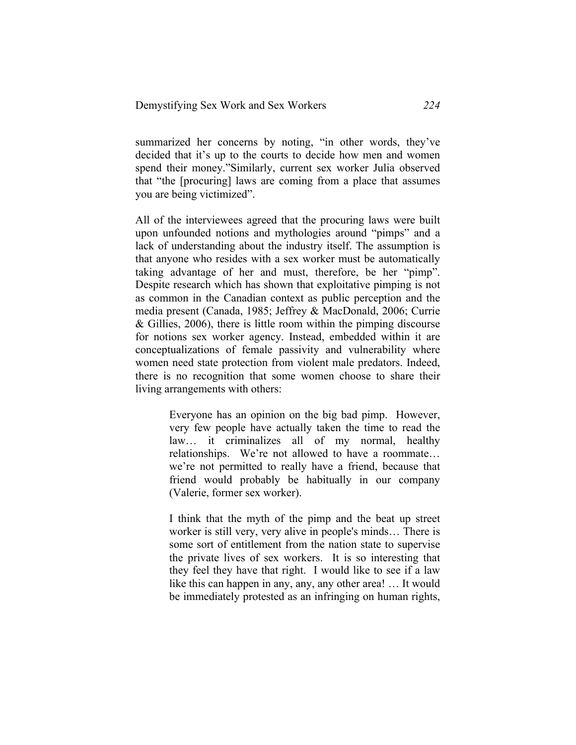summarized her concerns by noting, "in other words, they've decided that it's up to the courts to decide how men and women spend their money."Similarly, current sex worker Julia observed that "the [procuring] laws are coming from a place that assumes you are being victimized".

All of the interviewees agreed that the procuring laws were built upon unfounded notions and mythologies around "pimps" and a lack of understanding about the industry itself. The assumption is that anyone who resides with a sex worker must be automatically taking advantage of her and must, therefore, be her "pimp". Despite research which has shown that exploitative pimping is not as common in the Canadian context as public perception and the media present (Canada, 1985; Jeffrey & MacDonald, 2006; Currie & Gillies, 2006), there is little room within the pimping discourse for notions sex worker agency. Instead, embedded within it are conceptualizations of female passivity and vulnerability where women need state protection from violent male predators. Indeed, there is no recognition that some women choose to share their living arrangements with others:

> Everyone has an opinion on the big bad pimp. However, very few people have actually taken the time to read the law… it criminalizes all of my normal, healthy relationships. We're not allowed to have a roommate… we're not permitted to really have a friend, because that friend would probably be habitually in our company (Valerie, former sex worker).

> I think that the myth of the pimp and the beat up street worker is still very, very alive in people's minds… There is some sort of entitlement from the nation state to supervise the private lives of sex workers. It is so interesting that they feel they have that right. I would like to see if a law like this can happen in any, any, any other area! … It would be immediately protested as an infringing on human rights,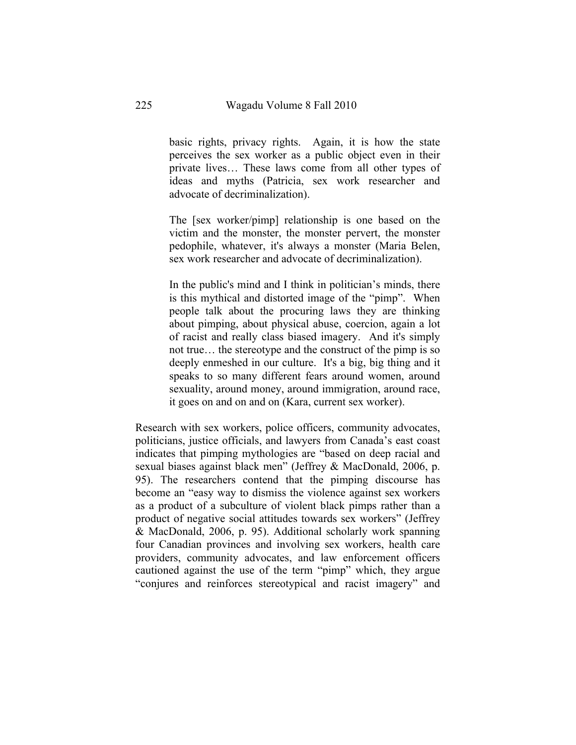basic rights, privacy rights. Again, it is how the state perceives the sex worker as a public object even in their private lives… These laws come from all other types of ideas and myths (Patricia, sex work researcher and advocate of decriminalization).

The [sex worker/pimp] relationship is one based on the victim and the monster, the monster pervert, the monster pedophile, whatever, it's always a monster (Maria Belen, sex work researcher and advocate of decriminalization).

In the public's mind and I think in politician's minds, there is this mythical and distorted image of the "pimp". When people talk about the procuring laws they are thinking about pimping, about physical abuse, coercion, again a lot of racist and really class biased imagery. And it's simply not true… the stereotype and the construct of the pimp is so deeply enmeshed in our culture. It's a big, big thing and it speaks to so many different fears around women, around sexuality, around money, around immigration, around race, it goes on and on and on (Kara, current sex worker).

Research with sex workers, police officers, community advocates, politicians, justice officials, and lawyers from Canada's east coast indicates that pimping mythologies are "based on deep racial and sexual biases against black men" (Jeffrey & MacDonald, 2006, p. 95). The researchers contend that the pimping discourse has become an "easy way to dismiss the violence against sex workers as a product of a subculture of violent black pimps rather than a product of negative social attitudes towards sex workers" (Jeffrey & MacDonald, 2006, p. 95). Additional scholarly work spanning four Canadian provinces and involving sex workers, health care providers, community advocates, and law enforcement officers cautioned against the use of the term "pimp" which, they argue "conjures and reinforces stereotypical and racist imagery" and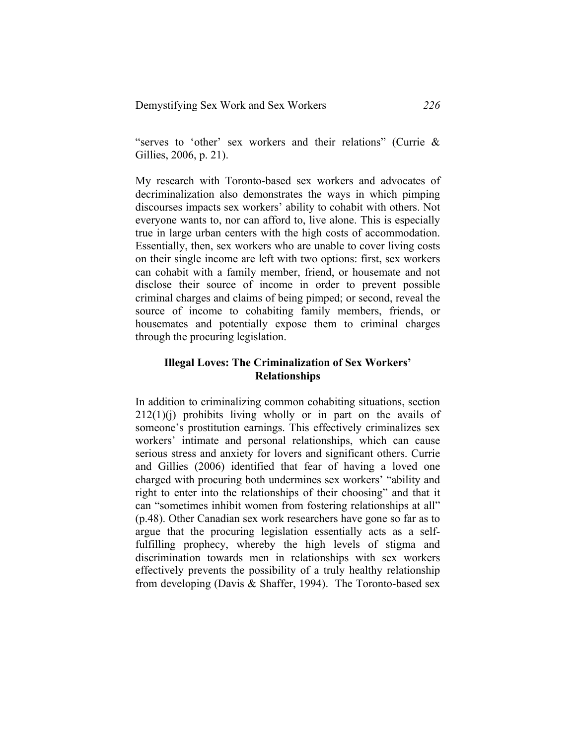"serves to 'other' sex workers and their relations" (Currie & Gillies, 2006, p. 21).

My research with Toronto-based sex workers and advocates of decriminalization also demonstrates the ways in which pimping discourses impacts sex workers' ability to cohabit with others. Not everyone wants to, nor can afford to, live alone. This is especially true in large urban centers with the high costs of accommodation. Essentially, then, sex workers who are unable to cover living costs on their single income are left with two options: first, sex workers can cohabit with a family member, friend, or housemate and not disclose their source of income in order to prevent possible criminal charges and claims of being pimped; or second, reveal the source of income to cohabiting family members, friends, or housemates and potentially expose them to criminal charges through the procuring legislation.

# **Illegal Loves: The Criminalization of Sex Workers' Relationships**

In addition to criminalizing common cohabiting situations, section  $212(1)(i)$  prohibits living wholly or in part on the avails of someone's prostitution earnings. This effectively criminalizes sex workers' intimate and personal relationships, which can cause serious stress and anxiety for lovers and significant others. Currie and Gillies (2006) identified that fear of having a loved one charged with procuring both undermines sex workers' "ability and right to enter into the relationships of their choosing" and that it can "sometimes inhibit women from fostering relationships at all" (p.48). Other Canadian sex work researchers have gone so far as to argue that the procuring legislation essentially acts as a selffulfilling prophecy, whereby the high levels of stigma and discrimination towards men in relationships with sex workers effectively prevents the possibility of a truly healthy relationship from developing (Davis & Shaffer, 1994). The Toronto-based sex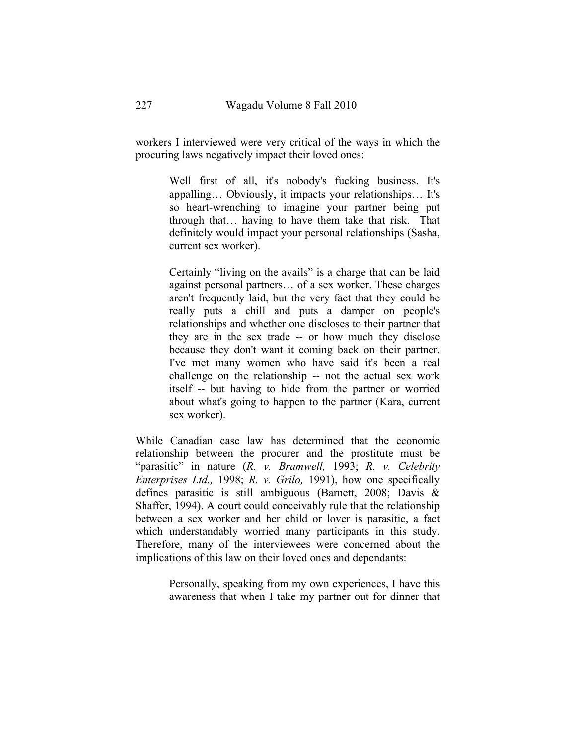workers I interviewed were very critical of the ways in which the procuring laws negatively impact their loved ones:

> Well first of all, it's nobody's fucking business. It's appalling… Obviously, it impacts your relationships… It's so heart-wrenching to imagine your partner being put through that… having to have them take that risk. That definitely would impact your personal relationships (Sasha, current sex worker).

> Certainly "living on the avails" is a charge that can be laid against personal partners… of a sex worker. These charges aren't frequently laid, but the very fact that they could be really puts a chill and puts a damper on people's relationships and whether one discloses to their partner that they are in the sex trade -- or how much they disclose because they don't want it coming back on their partner. I've met many women who have said it's been a real challenge on the relationship -- not the actual sex work itself -- but having to hide from the partner or worried about what's going to happen to the partner (Kara, current sex worker).

While Canadian case law has determined that the economic relationship between the procurer and the prostitute must be "parasitic" in nature (*R. v. Bramwell,* 1993; *R. v. Celebrity Enterprises Ltd.,* 1998; *R. v. Grilo,* 1991), how one specifically defines parasitic is still ambiguous (Barnett, 2008; Davis & Shaffer, 1994). A court could conceivably rule that the relationship between a sex worker and her child or lover is parasitic, a fact which understandably worried many participants in this study. Therefore, many of the interviewees were concerned about the implications of this law on their loved ones and dependants:

> Personally, speaking from my own experiences, I have this awareness that when I take my partner out for dinner that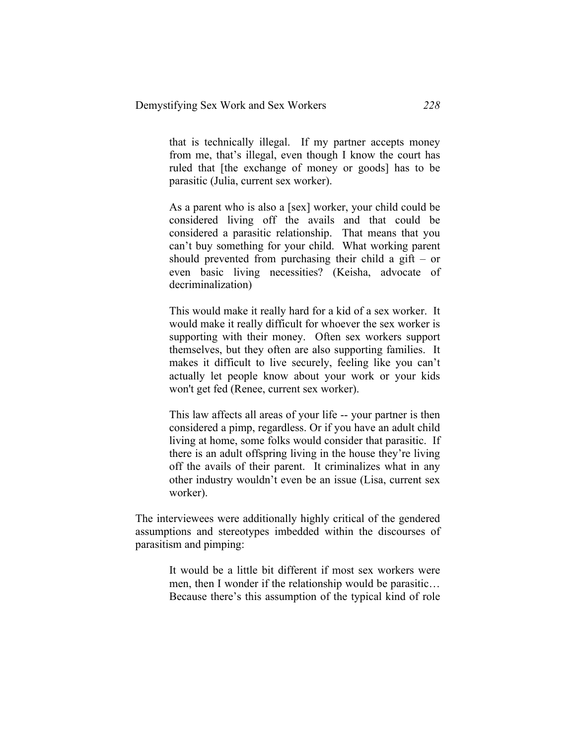that is technically illegal. If my partner accepts money from me, that's illegal, even though I know the court has ruled that [the exchange of money or goods] has to be parasitic (Julia, current sex worker).

As a parent who is also a [sex] worker, your child could be considered living off the avails and that could be considered a parasitic relationship. That means that you can't buy something for your child. What working parent should prevented from purchasing their child a gift – or even basic living necessities? (Keisha, advocate of decriminalization)

This would make it really hard for a kid of a sex worker. It would make it really difficult for whoever the sex worker is supporting with their money. Often sex workers support themselves, but they often are also supporting families. It makes it difficult to live securely, feeling like you can't actually let people know about your work or your kids won't get fed (Renee, current sex worker).

This law affects all areas of your life -- your partner is then considered a pimp, regardless. Or if you have an adult child living at home, some folks would consider that parasitic. If there is an adult offspring living in the house they're living off the avails of their parent. It criminalizes what in any other industry wouldn't even be an issue (Lisa, current sex worker).

The interviewees were additionally highly critical of the gendered assumptions and stereotypes imbedded within the discourses of parasitism and pimping:

> It would be a little bit different if most sex workers were men, then I wonder if the relationship would be parasitic… Because there's this assumption of the typical kind of role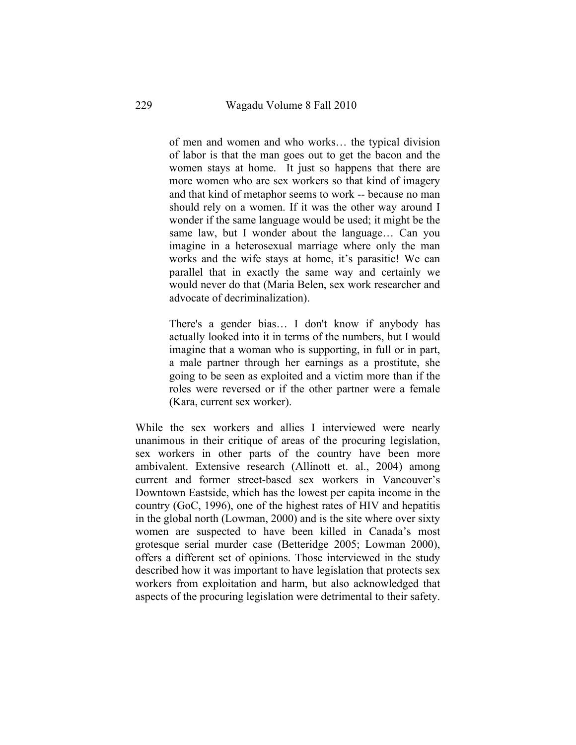of men and women and who works… the typical division of labor is that the man goes out to get the bacon and the women stays at home. It just so happens that there are more women who are sex workers so that kind of imagery and that kind of metaphor seems to work -- because no man should rely on a women. If it was the other way around I wonder if the same language would be used; it might be the same law, but I wonder about the language… Can you imagine in a heterosexual marriage where only the man works and the wife stays at home, it's parasitic! We can parallel that in exactly the same way and certainly we would never do that (Maria Belen, sex work researcher and advocate of decriminalization).

There's a gender bias… I don't know if anybody has actually looked into it in terms of the numbers, but I would imagine that a woman who is supporting, in full or in part, a male partner through her earnings as a prostitute, she going to be seen as exploited and a victim more than if the roles were reversed or if the other partner were a female (Kara, current sex worker).

While the sex workers and allies I interviewed were nearly unanimous in their critique of areas of the procuring legislation, sex workers in other parts of the country have been more ambivalent. Extensive research (Allinott et. al., 2004) among current and former street-based sex workers in Vancouver's Downtown Eastside, which has the lowest per capita income in the country (GoC, 1996), one of the highest rates of HIV and hepatitis in the global north (Lowman, 2000) and is the site where over sixty women are suspected to have been killed in Canada's most grotesque serial murder case (Betteridge 2005; Lowman 2000), offers a different set of opinions. Those interviewed in the study described how it was important to have legislation that protects sex workers from exploitation and harm, but also acknowledged that aspects of the procuring legislation were detrimental to their safety.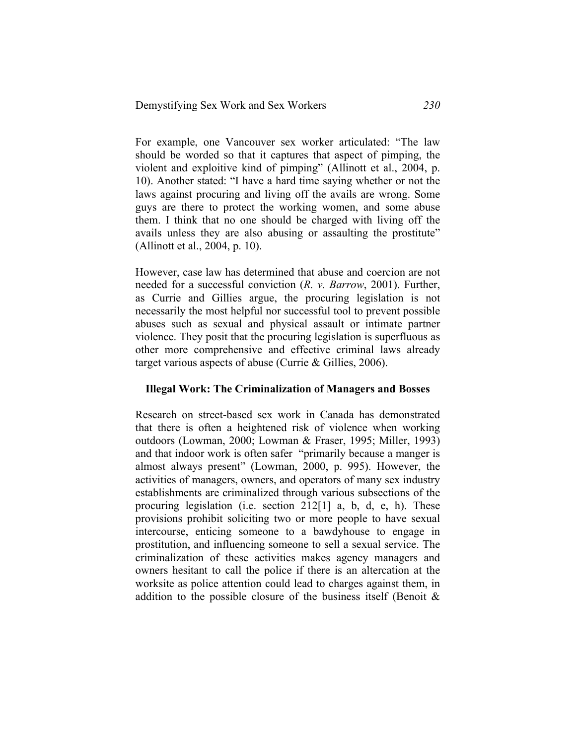For example, one Vancouver sex worker articulated: "The law should be worded so that it captures that aspect of pimping, the violent and exploitive kind of pimping" (Allinott et al., 2004, p. 10). Another stated: "I have a hard time saying whether or not the laws against procuring and living off the avails are wrong. Some guys are there to protect the working women, and some abuse them. I think that no one should be charged with living off the avails unless they are also abusing or assaulting the prostitute" (Allinott et al., 2004, p. 10).

However, case law has determined that abuse and coercion are not needed for a successful conviction (*R. v. Barrow*, 2001). Further, as Currie and Gillies argue, the procuring legislation is not necessarily the most helpful nor successful tool to prevent possible abuses such as sexual and physical assault or intimate partner violence. They posit that the procuring legislation is superfluous as other more comprehensive and effective criminal laws already target various aspects of abuse (Currie & Gillies, 2006).

#### **Illegal Work: The Criminalization of Managers and Bosses**

Research on street-based sex work in Canada has demonstrated that there is often a heightened risk of violence when working outdoors (Lowman, 2000; Lowman & Fraser, 1995; Miller, 1993) and that indoor work is often safer "primarily because a manger is almost always present" (Lowman, 2000, p. 995). However, the activities of managers, owners, and operators of many sex industry establishments are criminalized through various subsections of the procuring legislation (i.e. section 212[1] a, b, d, e, h). These provisions prohibit soliciting two or more people to have sexual intercourse, enticing someone to a bawdyhouse to engage in prostitution, and influencing someone to sell a sexual service. The criminalization of these activities makes agency managers and owners hesitant to call the police if there is an altercation at the worksite as police attention could lead to charges against them, in addition to the possible closure of the business itself (Benoit &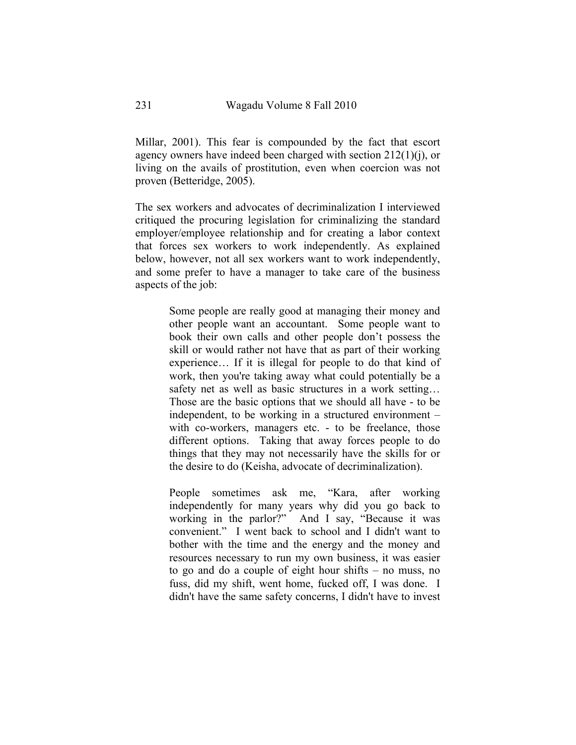Millar, 2001). This fear is compounded by the fact that escort agency owners have indeed been charged with section  $212(1)(i)$ , or living on the avails of prostitution, even when coercion was not proven (Betteridge, 2005).

The sex workers and advocates of decriminalization I interviewed critiqued the procuring legislation for criminalizing the standard employer/employee relationship and for creating a labor context that forces sex workers to work independently. As explained below, however, not all sex workers want to work independently, and some prefer to have a manager to take care of the business aspects of the job:

> Some people are really good at managing their money and other people want an accountant. Some people want to book their own calls and other people don't possess the skill or would rather not have that as part of their working experience… If it is illegal for people to do that kind of work, then you're taking away what could potentially be a safety net as well as basic structures in a work setting… Those are the basic options that we should all have - to be independent, to be working in a structured environment – with co-workers, managers etc. - to be freelance, those different options. Taking that away forces people to do things that they may not necessarily have the skills for or the desire to do (Keisha, advocate of decriminalization).

> People sometimes ask me, "Kara, after working independently for many years why did you go back to working in the parlor?" And I say, "Because it was convenient." I went back to school and I didn't want to bother with the time and the energy and the money and resources necessary to run my own business, it was easier to go and do a couple of eight hour shifts – no muss, no fuss, did my shift, went home, fucked off, I was done. I didn't have the same safety concerns, I didn't have to invest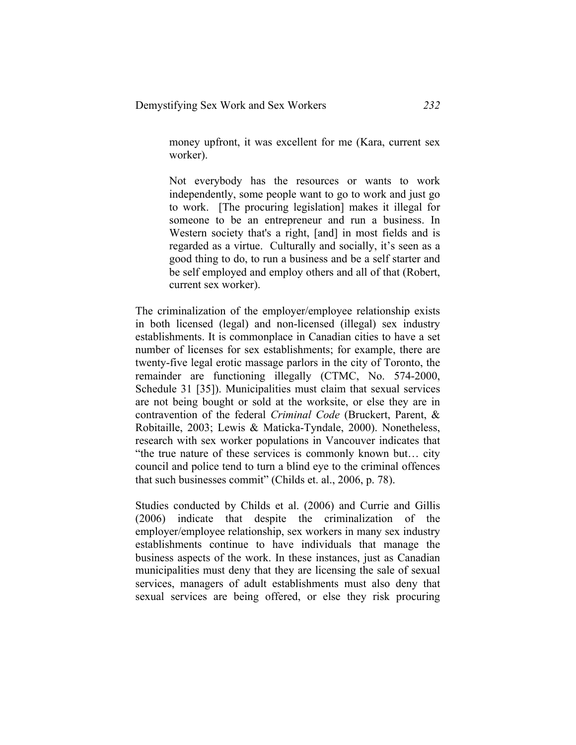money upfront, it was excellent for me (Kara, current sex worker).

Not everybody has the resources or wants to work independently, some people want to go to work and just go to work. [The procuring legislation] makes it illegal for someone to be an entrepreneur and run a business. In Western society that's a right, [and] in most fields and is regarded as a virtue. Culturally and socially, it's seen as a good thing to do, to run a business and be a self starter and be self employed and employ others and all of that (Robert, current sex worker).

The criminalization of the employer/employee relationship exists in both licensed (legal) and non-licensed (illegal) sex industry establishments. It is commonplace in Canadian cities to have a set number of licenses for sex establishments; for example, there are twenty-five legal erotic massage parlors in the city of Toronto, the remainder are functioning illegally (CTMC, No. 574-2000, Schedule 31 [35]). Municipalities must claim that sexual services are not being bought or sold at the worksite, or else they are in contravention of the federal *Criminal Code* (Bruckert, Parent, & Robitaille, 2003; Lewis & Maticka-Tyndale, 2000). Nonetheless, research with sex worker populations in Vancouver indicates that "the true nature of these services is commonly known but… city council and police tend to turn a blind eye to the criminal offences that such businesses commit" (Childs et. al., 2006, p. 78).

Studies conducted by Childs et al. (2006) and Currie and Gillis (2006) indicate that despite the criminalization of the employer/employee relationship, sex workers in many sex industry establishments continue to have individuals that manage the business aspects of the work. In these instances, just as Canadian municipalities must deny that they are licensing the sale of sexual services, managers of adult establishments must also deny that sexual services are being offered, or else they risk procuring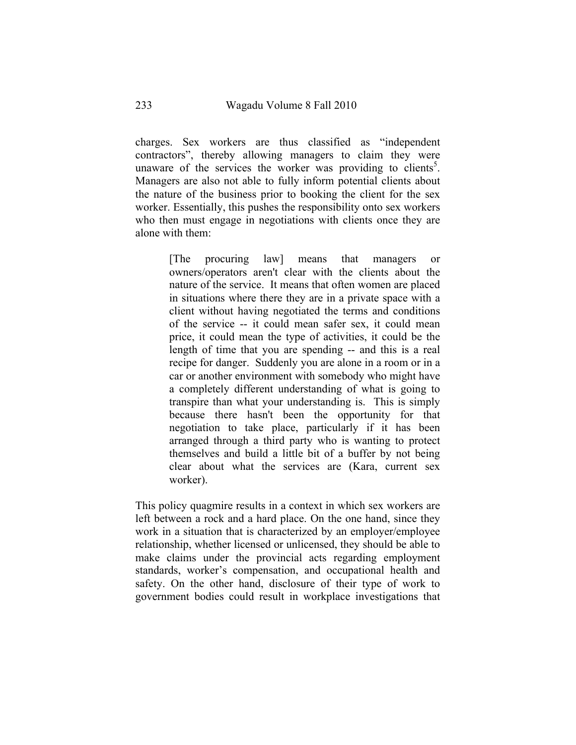charges. Sex workers are thus classified as "independent contractors", thereby allowing managers to claim they were unaware of the services the worker was providing to clients<sup>5</sup>. Managers are also not able to fully inform potential clients about the nature of the business prior to booking the client for the sex worker. Essentially, this pushes the responsibility onto sex workers who then must engage in negotiations with clients once they are alone with them:

> [The procuring law] means that managers or owners/operators aren't clear with the clients about the nature of the service. It means that often women are placed in situations where there they are in a private space with a client without having negotiated the terms and conditions of the service -- it could mean safer sex, it could mean price, it could mean the type of activities, it could be the length of time that you are spending -- and this is a real recipe for danger. Suddenly you are alone in a room or in a car or another environment with somebody who might have a completely different understanding of what is going to transpire than what your understanding is. This is simply because there hasn't been the opportunity for that negotiation to take place, particularly if it has been arranged through a third party who is wanting to protect themselves and build a little bit of a buffer by not being clear about what the services are (Kara, current sex worker).

This policy quagmire results in a context in which sex workers are left between a rock and a hard place. On the one hand, since they work in a situation that is characterized by an employer/employee relationship, whether licensed or unlicensed, they should be able to make claims under the provincial acts regarding employment standards, worker's compensation, and occupational health and safety. On the other hand, disclosure of their type of work to government bodies could result in workplace investigations that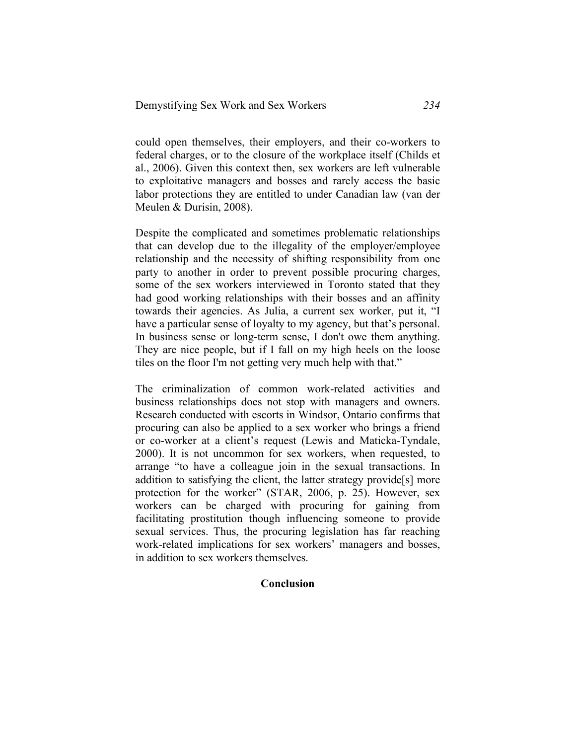could open themselves, their employers, and their co-workers to federal charges, or to the closure of the workplace itself (Childs et al., 2006). Given this context then, sex workers are left vulnerable to exploitative managers and bosses and rarely access the basic labor protections they are entitled to under Canadian law (van der Meulen & Durisin, 2008).

Despite the complicated and sometimes problematic relationships that can develop due to the illegality of the employer/employee relationship and the necessity of shifting responsibility from one party to another in order to prevent possible procuring charges, some of the sex workers interviewed in Toronto stated that they had good working relationships with their bosses and an affinity towards their agencies. As Julia, a current sex worker, put it, "I have a particular sense of loyalty to my agency, but that's personal. In business sense or long-term sense, I don't owe them anything. They are nice people, but if I fall on my high heels on the loose tiles on the floor I'm not getting very much help with that."

The criminalization of common work-related activities and business relationships does not stop with managers and owners. Research conducted with escorts in Windsor, Ontario confirms that procuring can also be applied to a sex worker who brings a friend or co-worker at a client's request (Lewis and Maticka-Tyndale, 2000). It is not uncommon for sex workers, when requested, to arrange "to have a colleague join in the sexual transactions. In addition to satisfying the client, the latter strategy provide[s] more protection for the worker" (STAR, 2006, p. 25). However, sex workers can be charged with procuring for gaining from facilitating prostitution though influencing someone to provide sexual services. Thus, the procuring legislation has far reaching work-related implications for sex workers' managers and bosses, in addition to sex workers themselves.

#### **Conclusion**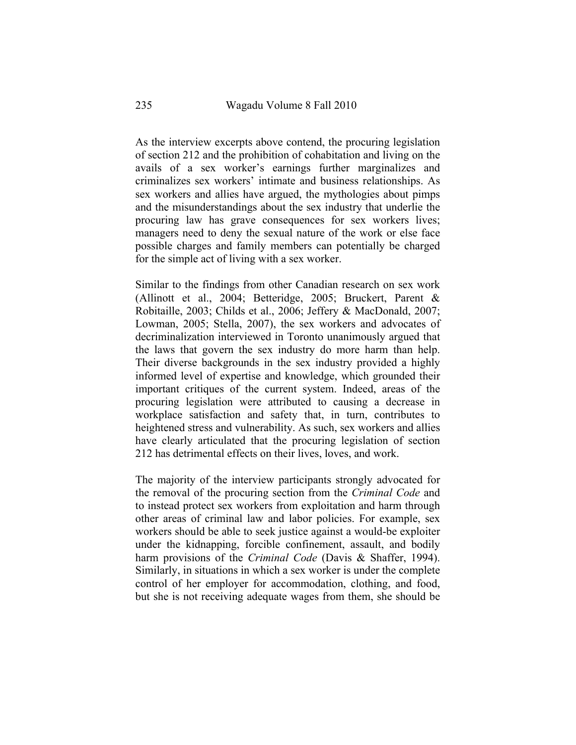As the interview excerpts above contend, the procuring legislation of section 212 and the prohibition of cohabitation and living on the avails of a sex worker's earnings further marginalizes and criminalizes sex workers' intimate and business relationships. As sex workers and allies have argued, the mythologies about pimps and the misunderstandings about the sex industry that underlie the procuring law has grave consequences for sex workers lives; managers need to deny the sexual nature of the work or else face possible charges and family members can potentially be charged for the simple act of living with a sex worker.

Similar to the findings from other Canadian research on sex work (Allinott et al., 2004; Betteridge, 2005; Bruckert, Parent & Robitaille, 2003; Childs et al., 2006; Jeffery & MacDonald, 2007; Lowman, 2005; Stella, 2007), the sex workers and advocates of decriminalization interviewed in Toronto unanimously argued that the laws that govern the sex industry do more harm than help. Their diverse backgrounds in the sex industry provided a highly informed level of expertise and knowledge, which grounded their important critiques of the current system. Indeed, areas of the procuring legislation were attributed to causing a decrease in workplace satisfaction and safety that, in turn, contributes to heightened stress and vulnerability. As such, sex workers and allies have clearly articulated that the procuring legislation of section 212 has detrimental effects on their lives, loves, and work.

The majority of the interview participants strongly advocated for the removal of the procuring section from the *Criminal Code* and to instead protect sex workers from exploitation and harm through other areas of criminal law and labor policies. For example, sex workers should be able to seek justice against a would-be exploiter under the kidnapping, forcible confinement, assault, and bodily harm provisions of the *Criminal Code* (Davis & Shaffer, 1994). Similarly, in situations in which a sex worker is under the complete control of her employer for accommodation, clothing, and food, but she is not receiving adequate wages from them, she should be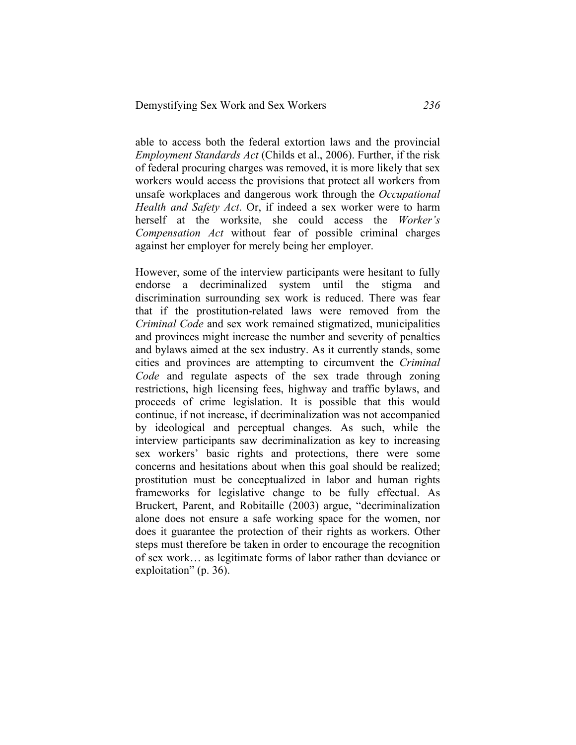able to access both the federal extortion laws and the provincial *Employment Standards Act* (Childs et al., 2006). Further, if the risk of federal procuring charges was removed, it is more likely that sex workers would access the provisions that protect all workers from unsafe workplaces and dangerous work through the *Occupational Health and Safety Act*. Or, if indeed a sex worker were to harm herself at the worksite, she could access the *Worker's Compensation Act* without fear of possible criminal charges against her employer for merely being her employer.

However, some of the interview participants were hesitant to fully endorse a decriminalized system until the stigma and discrimination surrounding sex work is reduced. There was fear that if the prostitution-related laws were removed from the *Criminal Code* and sex work remained stigmatized, municipalities and provinces might increase the number and severity of penalties and bylaws aimed at the sex industry. As it currently stands, some cities and provinces are attempting to circumvent the *Criminal Code* and regulate aspects of the sex trade through zoning restrictions, high licensing fees, highway and traffic bylaws, and proceeds of crime legislation. It is possible that this would continue, if not increase, if decriminalization was not accompanied by ideological and perceptual changes. As such, while the interview participants saw decriminalization as key to increasing sex workers' basic rights and protections, there were some concerns and hesitations about when this goal should be realized; prostitution must be conceptualized in labor and human rights frameworks for legislative change to be fully effectual. As Bruckert, Parent, and Robitaille (2003) argue, "decriminalization alone does not ensure a safe working space for the women, nor does it guarantee the protection of their rights as workers. Other steps must therefore be taken in order to encourage the recognition of sex work… as legitimate forms of labor rather than deviance or exploitation" (p. 36).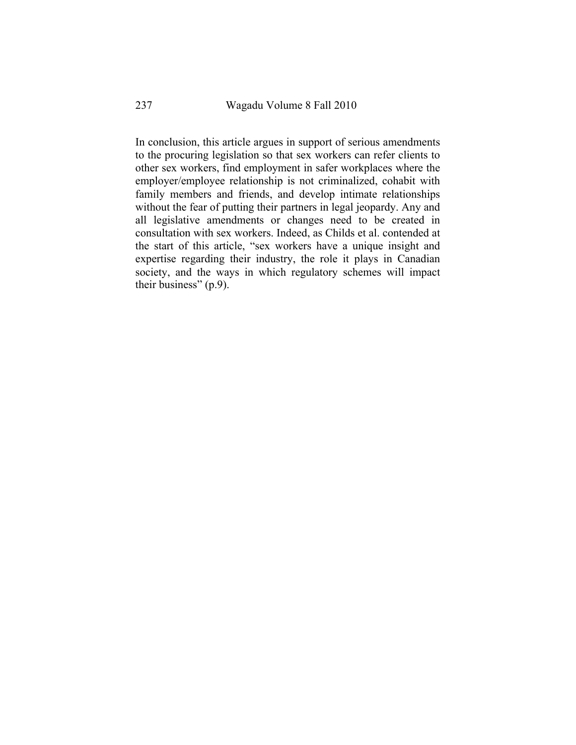In conclusion, this article argues in support of serious amendments to the procuring legislation so that sex workers can refer clients to other sex workers, find employment in safer workplaces where the employer/employee relationship is not criminalized, cohabit with family members and friends, and develop intimate relationships without the fear of putting their partners in legal jeopardy. Any and all legislative amendments or changes need to be created in consultation with sex workers. Indeed, as Childs et al. contended at the start of this article, "sex workers have a unique insight and expertise regarding their industry, the role it plays in Canadian society, and the ways in which regulatory schemes will impact their business" (p.9).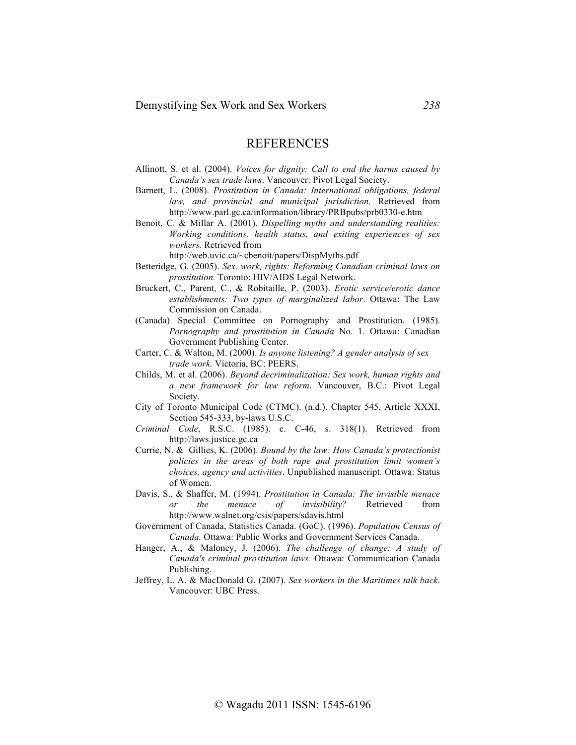### **REFERENCES**

- Allinott, S. et al. (2004). *Voices for dignity: Call to end the harms caused by Canada's sex trade laws*. Vancouver: Pivot Legal Society.
- Barnett, L. (2008). *Prostitution in Canada: International obligations, federal law, and provincial and municipal jurisdiction.* Retrieved from http://www.parl.gc.ca/information/library/PRBpubs/prb0330-e.htm
- Benoit, C. & Millar A. (2001). *Dispelling myths and understanding realities: Working conditions, health status, and exiting experiences of sex workers.* Retrieved from

http://web.uvic.ca/~cbenoit/papers/DispMyths.pdf

- Betteridge, G. (2005). *Sex, work, rights: Reforming Canadian criminal laws on prostitution.* Toronto: HIV/AIDS Legal Network.
- Bruckert, C., Parent, C., & Robitaille, P. (2003). *Erotic service/erotic dance establishments: Two types of marginalized labor*. Ottawa: The Law Commission on Canada.
- (Canada) Special Committee on Pornography and Prostitution. (1985). *Pornography and prostitution in Canada* No. 1. Ottawa: Canadian Government Publishing Center.
- Carter, C. & Walton, M. (2000). *Is anyone listening? A gender analysis of sex trade work.* Victoria, BC: PEERS.
- Childs, M. et al. (2006). *Beyond decriminalization: Sex work, human rights and a new framework for law reform*. Vancouver, B.C.: Pivot Legal Society.
- City of Toronto Municipal Code (CTMC). (n.d.). Chapter 545, Article XXXI, Section 545-333, by-laws U.S.C.
- *Criminal Code*, R.S.C. (1985). c. C-46, s. 318(1). Retrieved from http://laws.justice.gc.ca
- Currie, N. & Gillies, K. (2006). *Bound by the law: How Canada's protectionist policies in the areas of both rape and prostitution limit women's choices, agency and activities*. Unpublished manuscript. Ottawa: Status of Women.
- Davis, S., & Shaffer, M. (1994). *Prostitution in Canada: The invisible menace or the menace of invisibility?* Retrieved from http://www.walnet.org/csis/papers/sdavis.html
- Government of Canada, Statistics Canada. (GoC). (1996). *Population Census of Canada.* Ottawa: Public Works and Government Services Canada.
- Hanger, A., & Maloney, J. (2006). *The challenge of change: A study of Canada's criminal prostitution laws.* Ottawa: Communication Canada Publishing.
- Jeffrey, L. A. & MacDonald G. (2007). *Sex workers in the Maritimes talk back*. Vancouver: UBC Press.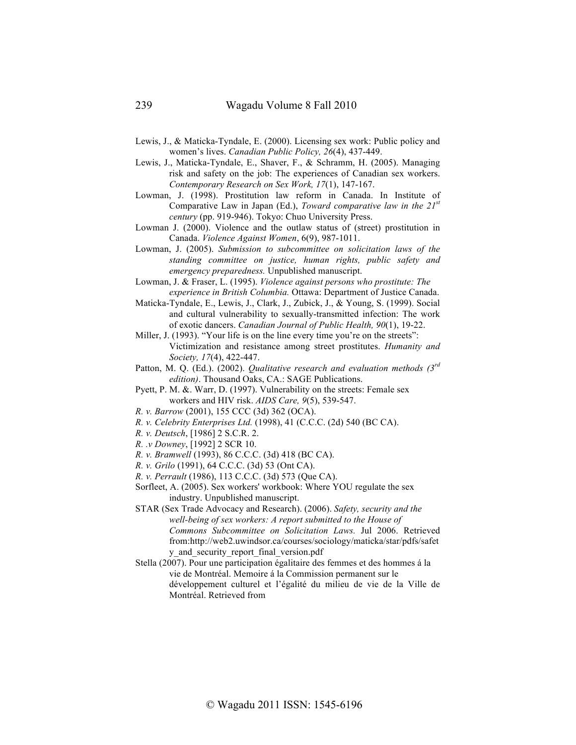- Lewis, J., & Maticka-Tyndale, E. (2000). Licensing sex work: Public policy and women's lives. *Canadian Public Policy, 26*(4), 437-449.
- Lewis, J., Maticka-Tyndale, E., Shaver, F., & Schramm, H. (2005). Managing risk and safety on the job: The experiences of Canadian sex workers. *Contemporary Research on Sex Work, 17*(1), 147-167.
- Lowman, J. (1998). Prostitution law reform in Canada. In Institute of Comparative Law in Japan (Ed.), *Toward comparative law in the 21st century* (pp. 919-946). Tokyo: Chuo University Press.
- Lowman J. (2000). Violence and the outlaw status of (street) prostitution in Canada. *Violence Against Women*, 6(9), 987-1011.
- Lowman, J. (2005). *Submission to subcommittee on solicitation laws of the standing committee on justice, human rights, public safety and emergency preparedness.* Unpublished manuscript.
- Lowman, J. & Fraser, L. (1995). *Violence against persons who prostitute: The experience in British Columbia.* Ottawa: Department of Justice Canada.
- Maticka-Tyndale, E., Lewis, J., Clark, J., Zubick, J., & Young, S. (1999). Social and cultural vulnerability to sexually-transmitted infection: The work of exotic dancers. *Canadian Journal of Public Health, 90*(1), 19-22.
- Miller, J. (1993). "Your life is on the line every time you're on the streets": Victimization and resistance among street prostitutes. *Humanity and Society, 17*(4), 422-447.
- Patton, M. Q. (Ed.). (2002). *Qualitative research and evaluation methods (3rd edition)*. Thousand Oaks, CA.: SAGE Publications.
- Pyett, P. M. &. Warr, D. (1997). Vulnerability on the streets: Female sex workers and HIV risk. *AIDS Care, 9*(5), 539-547.
- *R. v. Barrow* (2001), 155 CCC (3d) 362 (OCA).
- *R. v. Celebrity Enterprises Ltd.* (1998), 41 (C.C.C. (2d) 540 (BC CA).
- *R. v. Deutsch*, [1986] 2 S.C.R. 2.
- *R. .v Downey*, [1992] 2 SCR 10.
- *R. v. Bramwell* (1993), 86 C.C.C. (3d) 418 (BC CA).
- *R. v. Grilo* (1991), 64 C.C.C. (3d) 53 (Ont CA).
- *R. v. Perrault* (1986), 113 C.C.C. (3d) 573 (Que CA).
- Sorfleet, A. (2005). Sex workers' workbook: Where YOU regulate the sex industry. Unpublished manuscript.
- STAR (Sex Trade Advocacy and Research). (2006). *Safety, security and the well-being of sex workers: A report submitted to the House of Commons Subcommittee on Solicitation Laws.* Jul 2006. Retrieved from:http://web2.uwindsor.ca/courses/sociology/maticka/star/pdfs/safet y\_and\_security\_report\_final\_version.pdf
- Stella (2007). Pour une participation égalitaire des femmes et des hommes á la vie de Montréal. Memoire á la Commission permanent sur le développement culturel et l'égalité du milieu de vie de la Ville de Montréal. Retrieved from